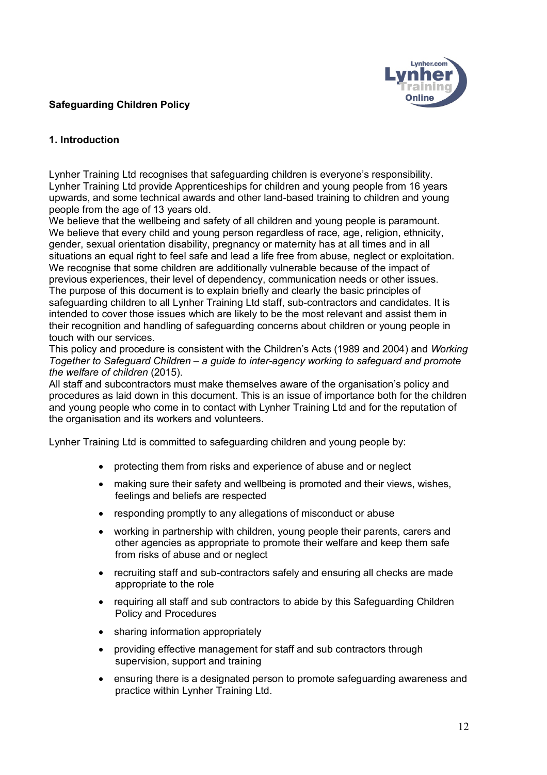# **Safeguarding Children Policy**



## **1. Introduction**

Lynher Training Ltd recognises that safeguarding children is everyone's responsibility. Lynher Training Ltd provide Apprenticeships for children and young people from 16 years upwards, and some technical awards and other land-based training to children and young people from the age of 13 years old.

We believe that the wellbeing and safety of all children and young people is paramount. We believe that every child and young person regardless of race, age, religion, ethnicity, gender, sexual orientation disability, pregnancy or maternity has at all times and in all situations an equal right to feel safe and lead a life free from abuse, neglect or exploitation. We recognise that some children are additionally vulnerable because of the impact of previous experiences, their level of dependency, communication needs or other issues. The purpose of this document is to explain briefly and clearly the basic principles of safeguarding children to all Lynher Training Ltd staff, sub-contractors and candidates. It is intended to cover those issues which are likely to be the most relevant and assist them in their recognition and handling of safeguarding concerns about children or young people in touch with our services.

This policy and procedure is consistent with the Children's Acts (1989 and 2004) and *Working Together to Safeguard Children – a guide to inter-agency working to safeguard and promote the welfare of children* (2015).

All staff and subcontractors must make themselves aware of the organisation's policy and procedures as laid down in this document. This is an issue of importance both for the children and young people who come in to contact with Lynher Training Ltd and for the reputation of the organisation and its workers and volunteers.

Lynher Training Ltd is committed to safeguarding children and young people by:

- protecting them from risks and experience of abuse and or neglect
- making sure their safety and wellbeing is promoted and their views, wishes, feelings and beliefs are respected
- responding promptly to any allegations of misconduct or abuse
- working in partnership with children, young people their parents, carers and other agencies as appropriate to promote their welfare and keep them safe from risks of abuse and or neglect
- recruiting staff and sub-contractors safely and ensuring all checks are made appropriate to the role
- requiring all staff and sub contractors to abide by this Safeguarding Children Policy and Procedures
- sharing information appropriately
- providing effective management for staff and sub contractors through supervision, support and training
- ensuring there is a designated person to promote safeguarding awareness and practice within Lynher Training Ltd.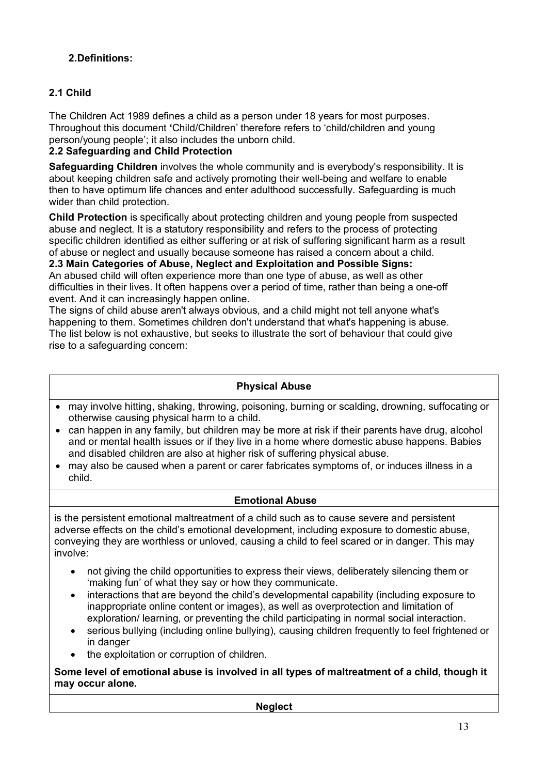# **2.Definitions:**

# **2.1 Child**

The Children Act 1989 defines a child as a person under 18 years for most purposes. Throughout this document **'**Child/Children' therefore refers to 'child/children and young person/young people'; it also includes the unborn child.

# **2.2 Safeguarding and Child Protection**

**Safeguarding Children** involves the whole community and is everybody's responsibility. It is about keeping children safe and actively promoting their well-being and welfare to enable then to have optimum life chances and enter adulthood successfully. Safeguarding is much wider than child protection.

**Child Protection** is specifically about protecting children and young people from suspected abuse and neglect. It is a statutory responsibility and refers to the process of protecting specific children identified as either suffering or at risk of suffering significant harm as a result of abuse or neglect and usually because someone has raised a concern about a child.

**2.3 Main Categories of Abuse, Neglect and Exploitation and Possible Signs:** An abused child will often experience more than one type of abuse, as well as other difficulties in their lives. It often happens over a period of time, rather than being a one-off event. And it can increasingly happen online.

The signs of child abuse aren't always obvious, and a child might not tell anyone what's happening to them. Sometimes children don't understand that what's happening is abuse. The list below is not exhaustive, but seeks to illustrate the sort of behaviour that could give rise to a safeguarding concern:

# **Physical Abuse**

- may involve hitting, shaking, throwing, poisoning, burning or scalding, drowning, suffocating or otherwise causing physical harm to a child.
- can happen in any family, but children may be more at risk if their parents have drug, alcohol and or mental health issues or if they live in a home where domestic abuse happens. Babies and disabled children are also at higher risk of suffering physical abuse.
- may also be caused when a parent or carer fabricates symptoms of, or induces illness in a child.

## **Emotional Abuse**

is the persistent emotional maltreatment of a child such as to cause severe and persistent adverse effects on the child's emotional development, including exposure to domestic abuse, conveying they are worthless or unloved, causing a child to feel scared or in danger. This may involve:

- not giving the child opportunities to express their views, deliberately silencing them or 'making fun' of what they say or how they communicate.
- interactions that are beyond the child's developmental capability (including exposure to inappropriate online content or images), as well as overprotection and limitation of exploration/ learning, or preventing the child participating in normal social interaction.
- serious bullying (including online bullying), causing children frequently to feel frightened or in danger
- the exploitation or corruption of children.

**Some level of emotional abuse is involved in all types of maltreatment of a child, though it may occur alone.**

**Neglect**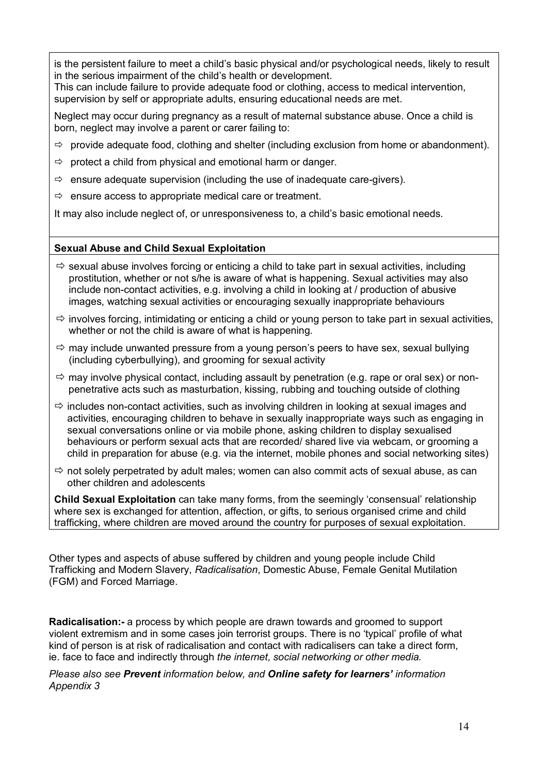is the persistent failure to meet a child's basic physical and/or psychological needs, likely to result in the serious impairment of the child's health or development.

This can include failure to provide adequate food or clothing, access to medical intervention, supervision by self or appropriate adults, ensuring educational needs are met.

Neglect may occur during pregnancy as a result of maternal substance abuse. Once a child is born, neglect may involve a parent or carer failing to:

- $\Rightarrow$  provide adequate food, clothing and shelter (including exclusion from home or abandonment).
- $\Rightarrow$  protect a child from physical and emotional harm or danger.
- $\Rightarrow$  ensure adequate supervision (including the use of inadequate care-givers).
- $\Rightarrow$  ensure access to appropriate medical care or treatment.

It may also include neglect of, or unresponsiveness to, a child's basic emotional needs.

### **Sexual Abuse and Child Sexual Exploitation**

- $\Rightarrow$  sexual abuse involves forcing or enticing a child to take part in sexual activities, including prostitution, whether or not s/he is aware of what is happening. Sexual activities may also include non-contact activities, e.g. involving a child in looking at / production of abusive images, watching sexual activities or encouraging sexually inappropriate behaviours
- $\Rightarrow$  involves forcing, intimidating or enticing a child or young person to take part in sexual activities, whether or not the child is aware of what is happening.
- $\Rightarrow$  may include unwanted pressure from a young person's peers to have sex, sexual bullying (including cyberbullying), and grooming for sexual activity
- $\Rightarrow$  may involve physical contact, including assault by penetration (e.g. rape or oral sex) or nonpenetrative acts such as masturbation, kissing, rubbing and touching outside of clothing
- $\Rightarrow$  includes non-contact activities, such as involving children in looking at sexual images and activities, encouraging children to behave in sexually inappropriate ways such as engaging in sexual conversations online or via mobile phone, asking children to display sexualised behaviours or perform sexual acts that are recorded/ shared live via webcam, or grooming a child in preparation for abuse (e.g. via the internet, mobile phones and social networking sites)
- $\Rightarrow$  not solely perpetrated by adult males; women can also commit acts of sexual abuse, as can other children and adolescents

**Child Sexual Exploitation** can take many forms, from the seemingly 'consensual' relationship where sex is exchanged for attention, affection, or gifts, to serious organised crime and child trafficking, where children are moved around the country for purposes of sexual exploitation.

Other types and aspects of abuse suffered by children and young people include Child Trafficking and Modern Slavery, *Radicalisation*, Domestic Abuse, Female Genital Mutilation (FGM) and Forced Marriage.

**Radicalisation:-** a process by which people are drawn towards and groomed to support violent extremism and in some cases join terrorist groups. There is no 'typical' profile of what kind of person is at risk of radicalisation and contact with radicalisers can take a direct form, ie. face to face and indirectly through *the internet, social networking or other media.* 

*Please also see Prevent information below, and Online safety for learners' information Appendix 3*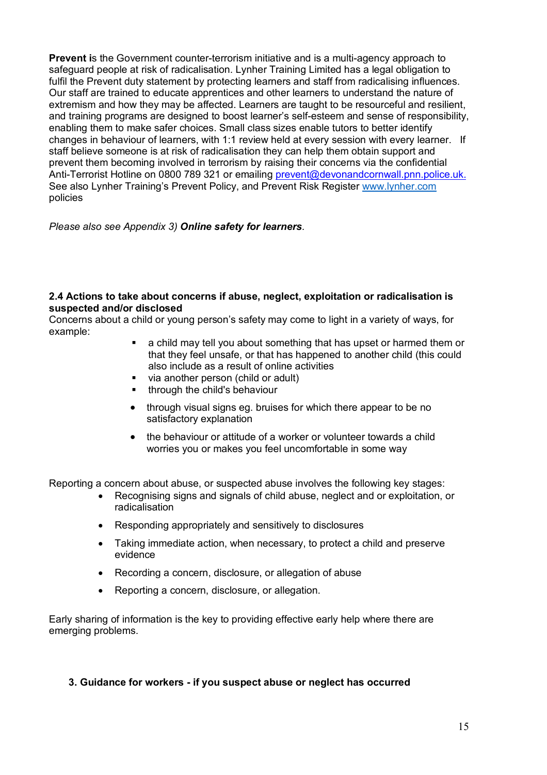**Prevent i**s the Government counter-terrorism initiative and is a multi-agency approach to safeguard people at risk of radicalisation. Lynher Training Limited has a legal obligation to fulfil the Prevent duty statement by protecting learners and staff from radicalising influences. Our staff are trained to educate apprentices and other learners to understand the nature of extremism and how they may be affected. Learners are taught to be resourceful and resilient, and training programs are designed to boost learner's self-esteem and sense of responsibility, enabling them to make safer choices. Small class sizes enable tutors to better identify changes in behaviour of learners, with 1:1 review held at every session with every learner. If staff believe someone is at risk of radicalisation they can help them obtain support and prevent them becoming involved in terrorism by raising their concerns via the confidential Anti-Terrorist Hotline on 0800 789 321 or emailing prevent@devonandcornwall.pnn.police.uk. See also Lynher Training's Prevent Policy, and Prevent Risk Register www.lynher.com policies

*Please also see Appendix 3) Online safety for learners.*

#### **2.4 Actions to take about concerns if abuse, neglect, exploitation or radicalisation is suspected and/or disclosed**

Concerns about a child or young person's safety may come to light in a variety of ways, for example:

- a child may tell you about something that has upset or harmed them or that they feel unsafe, or that has happened to another child (this could also include as a result of online activities
- § via another person (child or adult)
- **•** through the child's behaviour
- through visual signs eg. bruises for which there appear to be no satisfactory explanation
- the behaviour or attitude of a worker or volunteer towards a child worries you or makes you feel uncomfortable in some way

Reporting a concern about abuse, or suspected abuse involves the following key stages:

- Recognising signs and signals of child abuse, neglect and or exploitation, or radicalisation
- Responding appropriately and sensitively to disclosures
- Taking immediate action, when necessary, to protect a child and preserve evidence
- Recording a concern, disclosure, or allegation of abuse
- Reporting a concern, disclosure, or allegation.

Early sharing of information is the key to providing effective early help where there are emerging problems.

#### **3. Guidance for workers - if you suspect abuse or neglect has occurred**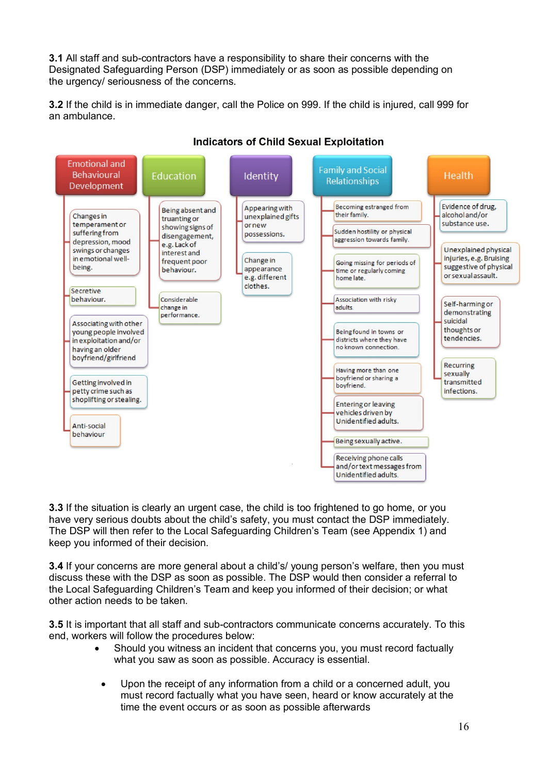**3.1** All staff and sub-contractors have a responsibility to share their concerns with the Designated Safeguarding Person (DSP) immediately or as soon as possible depending on the urgency/ seriousness of the concerns.

**3.2** If the child is in immediate danger, call the Police on 999. If the child is injured, call 999 for an ambulance.



# **Indicators of Child Sexual Exploitation**

**3.3** If the situation is clearly an urgent case, the child is too frightened to go home, or you have very serious doubts about the child's safety, you must contact the DSP immediately. The DSP will then refer to the Local Safeguarding Children's Team (see Appendix 1) and keep you informed of their decision.

**3.4** If your concerns are more general about a child's/ young person's welfare, then you must discuss these with the DSP as soon as possible. The DSP would then consider a referral to the Local Safeguarding Children's Team and keep you informed of their decision; or what other action needs to be taken.

**3.5** It is important that all staff and sub-contractors communicate concerns accurately. To this end, workers will follow the procedures below:

- Should you witness an incident that concerns you, you must record factually what you saw as soon as possible. Accuracy is essential.
	- Upon the receipt of any information from a child or a concerned adult, you must record factually what you have seen, heard or know accurately at the time the event occurs or as soon as possible afterwards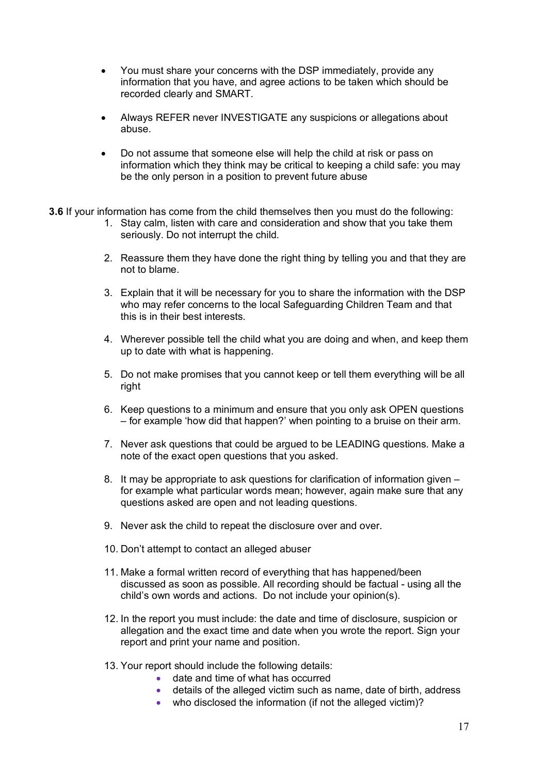- You must share your concerns with the DSP immediately, provide any information that you have, and agree actions to be taken which should be recorded clearly and SMART.
- Always REFER never INVESTIGATE any suspicions or allegations about abuse.
- Do not assume that someone else will help the child at risk or pass on information which they think may be critical to keeping a child safe: you may be the only person in a position to prevent future abuse
- **3.6** If your information has come from the child themselves then you must do the following:
	- 1. Stay calm, listen with care and consideration and show that you take them seriously. Do not interrupt the child.
	- 2. Reassure them they have done the right thing by telling you and that they are not to blame.
	- 3. Explain that it will be necessary for you to share the information with the DSP who may refer concerns to the local Safeguarding Children Team and that this is in their best interests.
	- 4. Wherever possible tell the child what you are doing and when, and keep them up to date with what is happening.
	- 5. Do not make promises that you cannot keep or tell them everything will be all right
	- 6. Keep questions to a minimum and ensure that you only ask OPEN questions – for example 'how did that happen?' when pointing to a bruise on their arm.
	- 7. Never ask questions that could be argued to be LEADING questions. Make a note of the exact open questions that you asked.
	- 8. It may be appropriate to ask questions for clarification of information given for example what particular words mean; however, again make sure that any questions asked are open and not leading questions.
	- 9. Never ask the child to repeat the disclosure over and over.
	- 10. Don't attempt to contact an alleged abuser
	- 11. Make a formal written record of everything that has happened/been discussed as soon as possible. All recording should be factual - using all the child's own words and actions. Do not include your opinion(s).
	- 12. In the report you must include: the date and time of disclosure, suspicion or allegation and the exact time and date when you wrote the report. Sign your report and print your name and position.
	- 13. Your report should include the following details:
		- date and time of what has occurred
		- details of the alleged victim such as name, date of birth, address
		- who disclosed the information (if not the alleged victim)?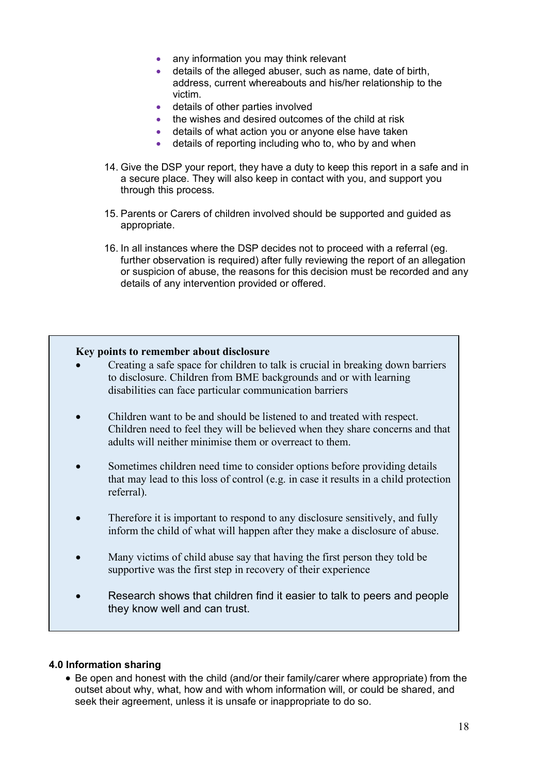- any information you may think relevant
- details of the alleged abuser, such as name, date of birth, address, current whereabouts and his/her relationship to the victim.
- details of other parties involved
- the wishes and desired outcomes of the child at risk
- details of what action you or anyone else have taken
- details of reporting including who to, who by and when
- 14. Give the DSP your report, they have a duty to keep this report in a safe and in a secure place. They will also keep in contact with you, and support you through this process.
- 15. Parents or Carers of children involved should be supported and guided as appropriate.
- 16. In all instances where the DSP decides not to proceed with a referral (eg. further observation is required) after fully reviewing the report of an allegation or suspicion of abuse, the reasons for this decision must be recorded and any details of any intervention provided or offered.

#### **Key points to remember about disclosure**

- Creating a safe space for children to talk is crucial in breaking down barriers to disclosure. Children from BME backgrounds and or with learning disabilities can face particular communication barriers
- Children want to be and should be listened to and treated with respect. Children need to feel they will be believed when they share concerns and that adults will neither minimise them or overreact to them.
- Sometimes children need time to consider options before providing details that may lead to this loss of control (e.g. in case it results in a child protection referral).
- Therefore it is important to respond to any disclosure sensitively, and fully inform the child of what will happen after they make a disclosure of abuse.
- Many victims of child abuse say that having the first person they told be supportive was the first step in recovery of their experience
- Research shows that children find it easier to talk to peers and people they know well and can trust.

#### **4.0 Information sharing**

• Be open and honest with the child (and/or their family/carer where appropriate) from the outset about why, what, how and with whom information will, or could be shared, and seek their agreement, unless it is unsafe or inappropriate to do so.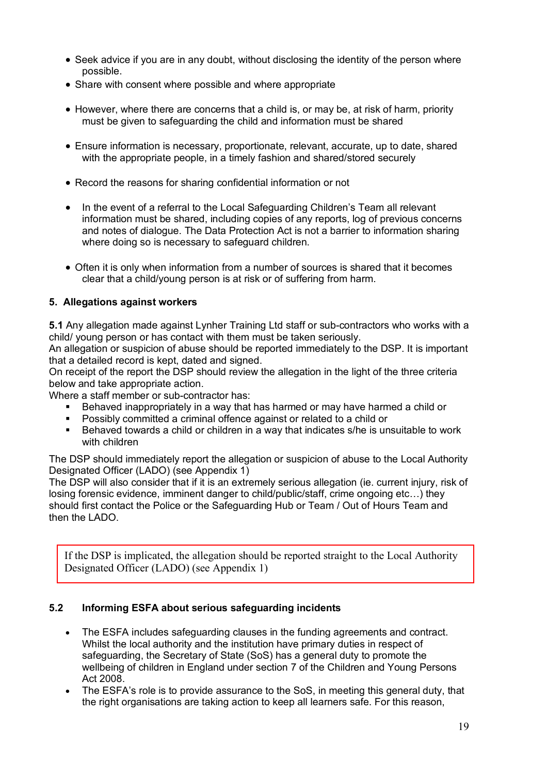- Seek advice if you are in any doubt, without disclosing the identity of the person where possible.
- Share with consent where possible and where appropriate
- However, where there are concerns that a child is, or may be, at risk of harm, priority must be given to safeguarding the child and information must be shared
- Ensure information is necessary, proportionate, relevant, accurate, up to date, shared with the appropriate people, in a timely fashion and shared/stored securely
- Record the reasons for sharing confidential information or not
- In the event of a referral to the Local Safeguarding Children's Team all relevant information must be shared, including copies of any reports, log of previous concerns and notes of dialogue. The Data Protection Act is not a barrier to information sharing where doing so is necessary to safeguard children.
- Often it is only when information from a number of sources is shared that it becomes clear that a child/young person is at risk or of suffering from harm.

### **5. Allegations against workers**

**5.1** Any allegation made against Lynher Training Ltd staff or sub-contractors who works with a child/ young person or has contact with them must be taken seriously.

An allegation or suspicion of abuse should be reported immediately to the DSP. It is important that a detailed record is kept, dated and signed.

On receipt of the report the DSP should review the allegation in the light of the three criteria below and take appropriate action.

Where a staff member or sub-contractor has:

- Behaved inappropriately in a way that has harmed or may have harmed a child or
- § Possibly committed a criminal offence against or related to a child or
- § Behaved towards a child or children in a way that indicates s/he is unsuitable to work with children

The DSP should immediately report the allegation or suspicion of abuse to the Local Authority Designated Officer (LADO) (see Appendix 1)

The DSP will also consider that if it is an extremely serious allegation (ie. current injury, risk of losing forensic evidence, imminent danger to child/public/staff, crime ongoing etc…) they should first contact the Police or the Safeguarding Hub or Team / Out of Hours Team and then the LADO.

If the DSP is implicated, the allegation should be reported straight to the Local Authority Designated Officer (LADO) (see Appendix 1)

#### **5.2 Informing ESFA about serious safeguarding incidents**

- The ESFA includes safeguarding clauses in the funding agreements and contract. Whilst the local authority and the institution have primary duties in respect of safeguarding, the Secretary of State (SoS) has a general duty to promote the wellbeing of children in England under section 7 of the Children and Young Persons Act 2008.
- The ESFA's role is to provide assurance to the SoS, in meeting this general duty, that the right organisations are taking action to keep all learners safe. For this reason,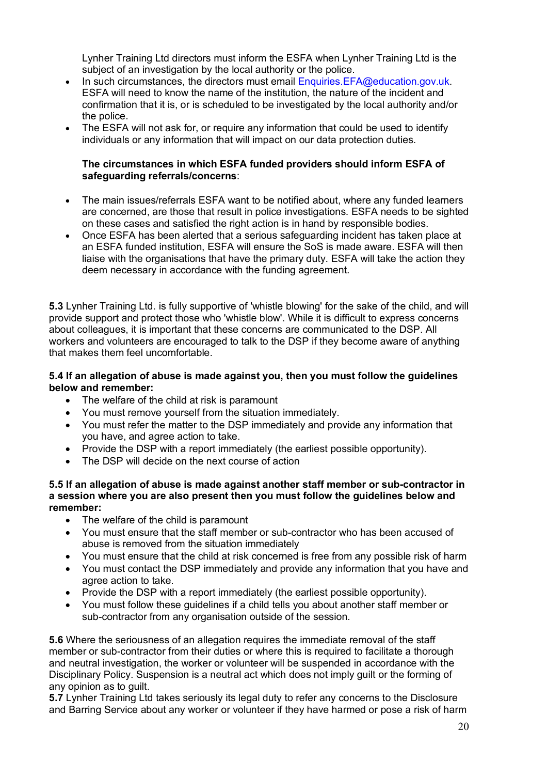Lynher Training Ltd directors must inform the ESFA when Lynher Training Ltd is the subject of an investigation by the local authority or the police.

- In such circumstances, the directors must email Enquiries.EFA@education.gov.uk. ESFA will need to know the name of the institution, the nature of the incident and confirmation that it is, or is scheduled to be investigated by the local authority and/or the police.
- The ESFA will not ask for, or require any information that could be used to identify individuals or any information that will impact on our data protection duties.

#### **The circumstances in which ESFA funded providers should inform ESFA of safeguarding referrals/concerns**:

- The main issues/referrals ESFA want to be notified about, where any funded learners are concerned, are those that result in police investigations. ESFA needs to be sighted on these cases and satisfied the right action is in hand by responsible bodies.
- Once ESFA has been alerted that a serious safeguarding incident has taken place at an ESFA funded institution, ESFA will ensure the SoS is made aware. ESFA will then liaise with the organisations that have the primary duty. ESFA will take the action they deem necessary in accordance with the funding agreement.

**5.3** Lynher Training Ltd. is fully supportive of 'whistle blowing' for the sake of the child, and will provide support and protect those who 'whistle blow'. While it is difficult to express concerns about colleagues, it is important that these concerns are communicated to the DSP. All workers and volunteers are encouraged to talk to the DSP if they become aware of anything that makes them feel uncomfortable.

#### **5.4 If an allegation of abuse is made against you, then you must follow the guidelines below and remember:**

- The welfare of the child at risk is paramount
- You must remove yourself from the situation immediately.
- You must refer the matter to the DSP immediately and provide any information that you have, and agree action to take.
- Provide the DSP with a report immediately (the earliest possible opportunity).
- The DSP will decide on the next course of action

**5.5 If an allegation of abuse is made against another staff member or sub-contractor in a session where you are also present then you must follow the guidelines below and remember:** 

- The welfare of the child is paramount
- You must ensure that the staff member or sub-contractor who has been accused of abuse is removed from the situation immediately
- You must ensure that the child at risk concerned is free from any possible risk of harm
- You must contact the DSP immediately and provide any information that you have and agree action to take.
- Provide the DSP with a report immediately (the earliest possible opportunity).
- You must follow these guidelines if a child tells you about another staff member or sub-contractor from any organisation outside of the session.

**5.6** Where the seriousness of an allegation requires the immediate removal of the staff member or sub-contractor from their duties or where this is required to facilitate a thorough and neutral investigation, the worker or volunteer will be suspended in accordance with the Disciplinary Policy. Suspension is a neutral act which does not imply guilt or the forming of any opinion as to guilt.

**5.7** Lynher Training Ltd takes seriously its legal duty to refer any concerns to the Disclosure and Barring Service about any worker or volunteer if they have harmed or pose a risk of harm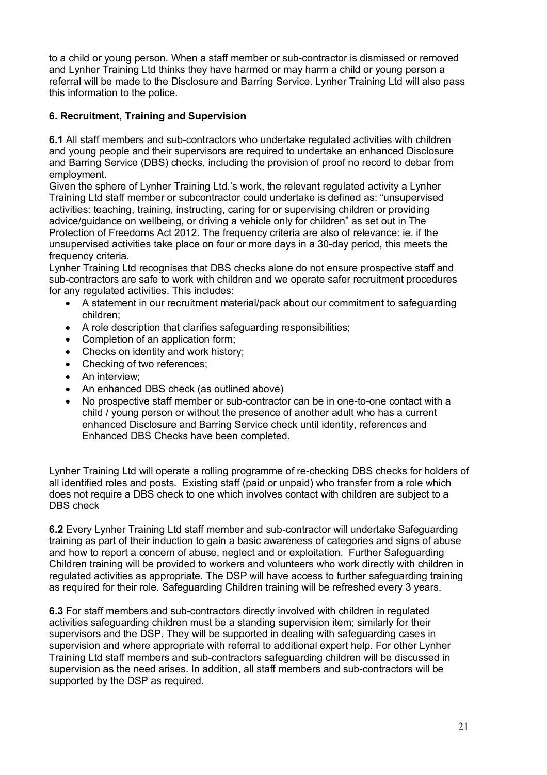to a child or young person. When a staff member or sub-contractor is dismissed or removed and Lynher Training Ltd thinks they have harmed or may harm a child or young person a referral will be made to the Disclosure and Barring Service. Lynher Training Ltd will also pass this information to the police.

# **6. Recruitment, Training and Supervision**

**6.1** All staff members and sub-contractors who undertake regulated activities with children and young people and their supervisors are required to undertake an enhanced Disclosure and Barring Service (DBS) checks, including the provision of proof no record to debar from employment.

Given the sphere of Lynher Training Ltd.'s work, the relevant regulated activity a Lynher Training Ltd staff member or subcontractor could undertake is defined as: "unsupervised activities: teaching, training, instructing, caring for or supervising children or providing advice/guidance on wellbeing, or driving a vehicle only for children" as set out in The Protection of Freedoms Act 2012. The frequency criteria are also of relevance: ie. if the unsupervised activities take place on four or more days in a 30-day period, this meets the frequency criteria.

Lynher Training Ltd recognises that DBS checks alone do not ensure prospective staff and sub-contractors are safe to work with children and we operate safer recruitment procedures for any regulated activities. This includes:

- A statement in our recruitment material/pack about our commitment to safeguarding children;
- A role description that clarifies safeguarding responsibilities;
- Completion of an application form;
- Checks on identity and work history;
- Checking of two references;
- An interview;
- An enhanced DBS check (as outlined above)
- No prospective staff member or sub-contractor can be in one-to-one contact with a child / young person or without the presence of another adult who has a current enhanced Disclosure and Barring Service check until identity, references and Enhanced DBS Checks have been completed.

Lynher Training Ltd will operate a rolling programme of re-checking DBS checks for holders of all identified roles and posts. Existing staff (paid or unpaid) who transfer from a role which does not require a DBS check to one which involves contact with children are subject to a DBS check

**6.2** Every Lynher Training Ltd staff member and sub-contractor will undertake Safeguarding training as part of their induction to gain a basic awareness of categories and signs of abuse and how to report a concern of abuse, neglect and or exploitation. Further Safeguarding Children training will be provided to workers and volunteers who work directly with children in regulated activities as appropriate. The DSP will have access to further safeguarding training as required for their role. Safeguarding Children training will be refreshed every 3 years.

**6.3** For staff members and sub-contractors directly involved with children in regulated activities safeguarding children must be a standing supervision item; similarly for their supervisors and the DSP. They will be supported in dealing with safeguarding cases in supervision and where appropriate with referral to additional expert help. For other Lynher Training Ltd staff members and sub-contractors safeguarding children will be discussed in supervision as the need arises. In addition, all staff members and sub-contractors will be supported by the DSP as required.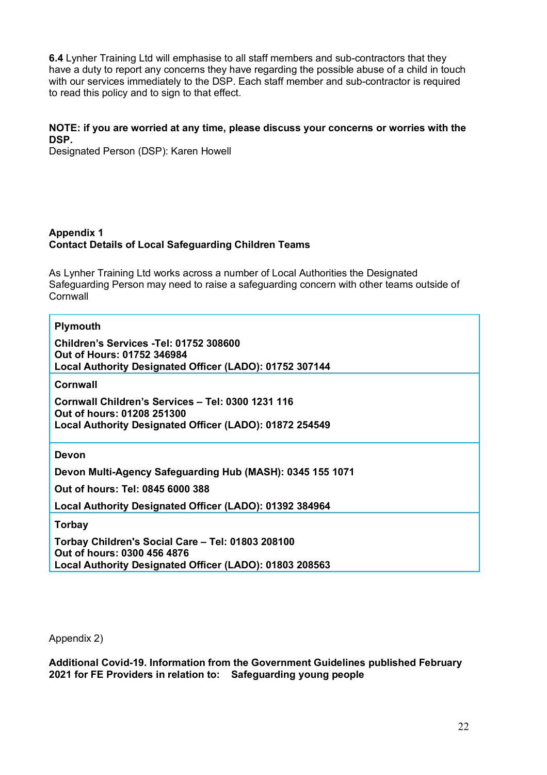**6.4** Lynher Training Ltd will emphasise to all staff members and sub-contractors that they have a duty to report any concerns they have regarding the possible abuse of a child in touch with our services immediately to the DSP. Each staff member and sub-contractor is required to read this policy and to sign to that effect.

## **NOTE: if you are worried at any time, please discuss your concerns or worries with the DSP.**

Designated Person (DSP): Karen Howell

#### **Appendix 1 Contact Details of Local Safeguarding Children Teams**

As Lynher Training Ltd works across a number of Local Authorities the Designated Safeguarding Person may need to raise a safeguarding concern with other teams outside of **Cornwall** 

#### **Plymouth**

**Children's Services -Tel: 01752 308600 Out of Hours: 01752 346984 Local Authority Designated Officer (LADO): 01752 307144**

**Cornwall** 

**Cornwall Children's Services – Tel: 0300 1231 116 Out of hours: 01208 251300 Local Authority Designated Officer (LADO): 01872 254549**

**Devon**

**Devon Multi-Agency Safeguarding Hub (MASH): 0345 155 1071**

**Out of hours: Tel: 0845 6000 388** 

**Local Authority Designated Officer (LADO): 01392 384964**

**Torbay**

**Torbay Children's Social Care – Tel: 01803 208100 Out of hours: 0300 456 4876 Local Authority Designated Officer (LADO): 01803 208563**

Appendix 2)

**Additional Covid-19. Information from the Government Guidelines published February 2021 for FE Providers in relation to: Safeguarding young people**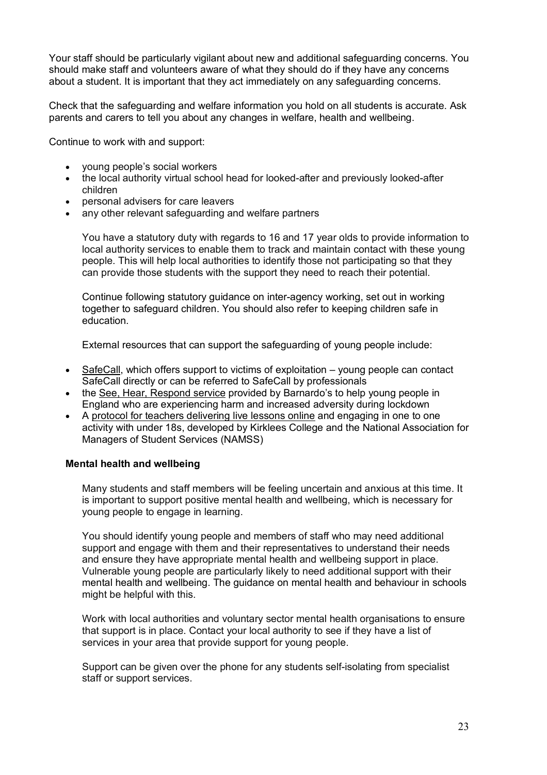Your staff should be particularly vigilant about new and additional safeguarding concerns. You should make staff and volunteers aware of what they should do if they have any concerns about a student. It is important that they act immediately on any safeguarding concerns.

Check that the safeguarding and welfare information you hold on all students is accurate. Ask parents and carers to tell you about any changes in welfare, health and wellbeing.

Continue to work with and support:

- young people's social workers
- the local authority virtual school head for looked-after and previously looked-after children
- personal advisers for care leavers
- any other relevant safeguarding and welfare partners

You have a statutory duty with regards to 16 and 17 year olds to provide information to local authority services to enable them to track and maintain contact with these young people. This will help local authorities to identify those not participating so that they can provide those students with the support they need to reach their potential.

Continue following statutory guidance on inter-agency working, set out in working together to safeguard children. You should also refer to keeping children safe in education.

External resources that can support the safeguarding of young people include:

- SafeCall, which offers support to victims of exploitation young people can contact SafeCall directly or can be referred to SafeCall by professionals
- the See, Hear, Respond service provided by Barnardo's to help young people in England who are experiencing harm and increased adversity during lockdown
- A protocol for teachers delivering live lessons online and engaging in one to one activity with under 18s, developed by Kirklees College and the National Association for Managers of Student Services (NAMSS)

#### **Mental health and wellbeing**

Many students and staff members will be feeling uncertain and anxious at this time. It is important to support positive mental health and wellbeing, which is necessary for young people to engage in learning.

You should identify young people and members of staff who may need additional support and engage with them and their representatives to understand their needs and ensure they have appropriate mental health and wellbeing support in place. Vulnerable young people are particularly likely to need additional support with their mental health and wellbeing. The guidance on mental health and behaviour in schools might be helpful with this.

Work with local authorities and voluntary sector mental health organisations to ensure that support is in place. Contact your local authority to see if they have a list of services in your area that provide support for young people.

Support can be given over the phone for any students self-isolating from specialist staff or support services.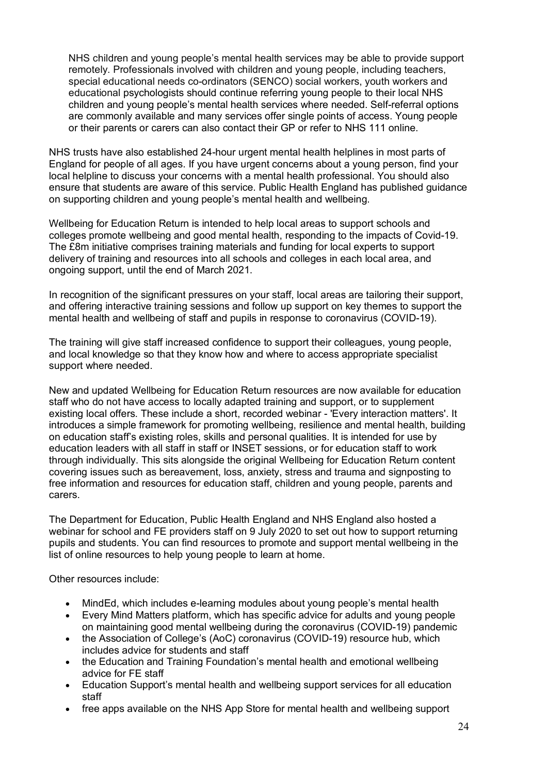NHS children and young people's mental health services may be able to provide support remotely. Professionals involved with children and young people, including teachers, special educational needs co-ordinators (SENCO) social workers, youth workers and educational psychologists should continue referring young people to their local NHS children and young people's mental health services where needed. Self-referral options are commonly available and many services offer single points of access. Young people or their parents or carers can also contact their GP or refer to NHS 111 online.

NHS trusts have also established 24-hour urgent mental health helplines in most parts of England for people of all ages. If you have urgent concerns about a young person, find your local helpline to discuss your concerns with a mental health professional. You should also ensure that students are aware of this service. Public Health England has published guidance on supporting children and young people's mental health and wellbeing.

Wellbeing for Education Return is intended to help local areas to support schools and colleges promote wellbeing and good mental health, responding to the impacts of Covid-19. The £8m initiative comprises training materials and funding for local experts to support delivery of training and resources into all schools and colleges in each local area, and ongoing support, until the end of March 2021.

In recognition of the significant pressures on your staff, local areas are tailoring their support, and offering interactive training sessions and follow up support on key themes to support the mental health and wellbeing of staff and pupils in response to coronavirus (COVID-19).

The training will give staff increased confidence to support their colleagues, young people, and local knowledge so that they know how and where to access appropriate specialist support where needed.

New and updated Wellbeing for Education Return resources are now available for education staff who do not have access to locally adapted training and support, or to supplement existing local offers. These include a short, recorded webinar - 'Every interaction matters'. It introduces a simple framework for promoting wellbeing, resilience and mental health, building on education staff's existing roles, skills and personal qualities. It is intended for use by education leaders with all staff in staff or INSET sessions, or for education staff to work through individually. This sits alongside the original Wellbeing for Education Return content covering issues such as bereavement, loss, anxiety, stress and trauma and signposting to free information and resources for education staff, children and young people, parents and carers.

The Department for Education, Public Health England and NHS England also hosted a webinar for school and FE providers staff on 9 July 2020 to set out how to support returning pupils and students. You can find resources to promote and support mental wellbeing in the list of online resources to help young people to learn at home.

Other resources include:

- MindEd, which includes e-learning modules about young people's mental health
- Every Mind Matters platform, which has specific advice for adults and young people on maintaining good mental wellbeing during the coronavirus (COVID-19) pandemic
- the Association of College's (AoC) coronavirus (COVID-19) resource hub, which includes advice for students and staff
- the Education and Training Foundation's mental health and emotional wellbeing advice for FE staff
- Education Support's mental health and wellbeing support services for all education staff
- free apps available on the NHS App Store for mental health and wellbeing support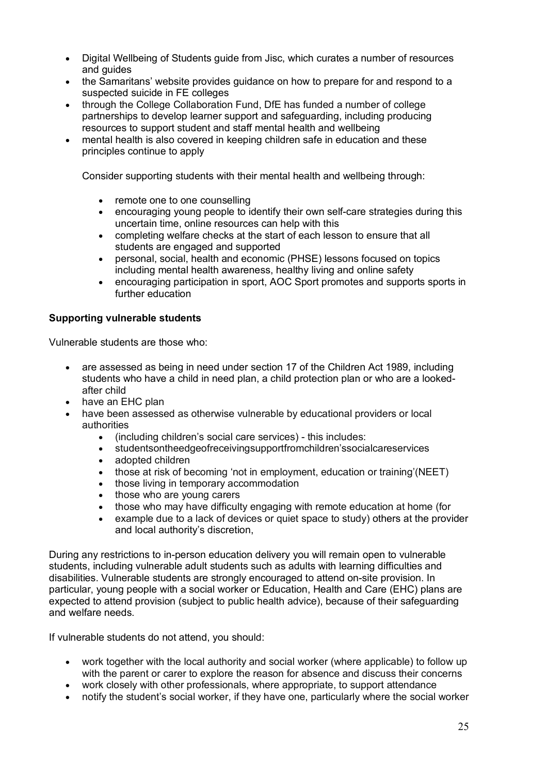- Digital Wellbeing of Students guide from Jisc, which curates a number of resources and guides
- the Samaritans' website provides quidance on how to prepare for and respond to a suspected suicide in FE colleges
- through the College Collaboration Fund, DfE has funded a number of college partnerships to develop learner support and safeguarding, including producing resources to support student and staff mental health and wellbeing
- mental health is also covered in keeping children safe in education and these principles continue to apply

Consider supporting students with their mental health and wellbeing through:

- remote one to one counselling
- encouraging young people to identify their own self-care strategies during this uncertain time, online resources can help with this
- completing welfare checks at the start of each lesson to ensure that all students are engaged and supported
- personal, social, health and economic (PHSE) lessons focused on topics including mental health awareness, healthy living and online safety
- encouraging participation in sport, AOC Sport promotes and supports sports in further education

### **Supporting vulnerable students**

Vulnerable students are those who:

- are assessed as being in need under section 17 of the Children Act 1989, including students who have a child in need plan, a child protection plan or who are a lookedafter child
- have an EHC plan
- have been assessed as otherwise vulnerable by educational providers or local authorities
	- (including children's social care services) this includes:
	- studentsontheedgeofreceivingsupportfromchildren'ssocialcareservices
	- adopted children
	- those at risk of becoming 'not in employment, education or training'(NEET)
	- those living in temporary accommodation
	- those who are young carers
	- those who may have difficulty engaging with remote education at home (for
	- example due to a lack of devices or quiet space to study) others at the provider and local authority's discretion,

During any restrictions to in-person education delivery you will remain open to vulnerable students, including vulnerable adult students such as adults with learning difficulties and disabilities. Vulnerable students are strongly encouraged to attend on-site provision. In particular, young people with a social worker or Education, Health and Care (EHC) plans are expected to attend provision (subject to public health advice), because of their safeguarding and welfare needs.

If vulnerable students do not attend, you should:

- work together with the local authority and social worker (where applicable) to follow up with the parent or carer to explore the reason for absence and discuss their concerns
- work closely with other professionals, where appropriate, to support attendance
- notify the student's social worker, if they have one, particularly where the social worker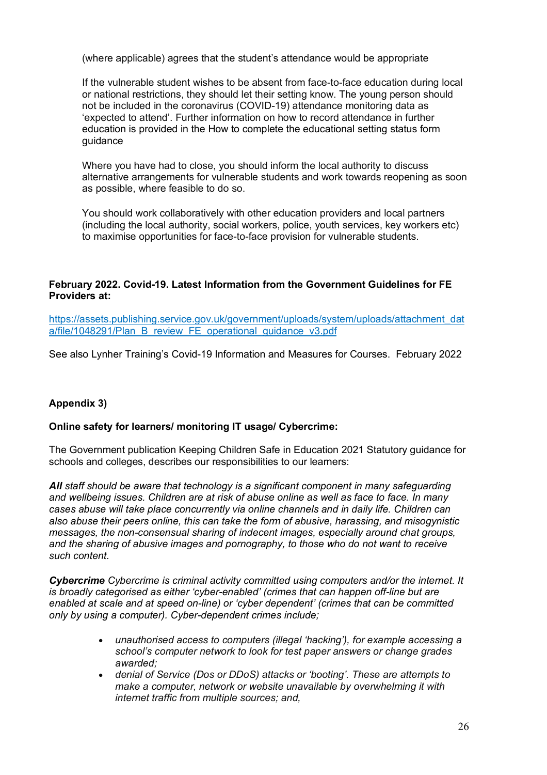(where applicable) agrees that the student's attendance would be appropriate

If the vulnerable student wishes to be absent from face-to-face education during local or national restrictions, they should let their setting know. The young person should not be included in the coronavirus (COVID-19) attendance monitoring data as 'expected to attend'. Further information on how to record attendance in further education is provided in the How to complete the educational setting status form guidance

Where you have had to close, you should inform the local authority to discuss alternative arrangements for vulnerable students and work towards reopening as soon as possible, where feasible to do so.

You should work collaboratively with other education providers and local partners (including the local authority, social workers, police, youth services, key workers etc) to maximise opportunities for face-to-face provision for vulnerable students.

## **February 2022. Covid-19. Latest Information from the Government Guidelines for FE Providers at:**

https://assets.publishing.service.gov.uk/government/uploads/system/uploads/attachment\_dat a/file/1048291/Plan\_B\_review\_FE\_operational\_guidance\_v3.pdf

See also Lynher Training's Covid-19 Information and Measures for Courses. February 2022

# **Appendix 3)**

#### **Online safety for learners/ monitoring IT usage/ Cybercrime:**

The Government publication Keeping Children Safe in Education 2021 Statutory guidance for schools and colleges, describes our responsibilities to our learners:

*All staff should be aware that technology is a significant component in many safeguarding and wellbeing issues. Children are at risk of abuse online as well as face to face. In many cases abuse will take place concurrently via online channels and in daily life. Children can also abuse their peers online, this can take the form of abusive, harassing, and misogynistic messages, the non-consensual sharing of indecent images, especially around chat groups, and the sharing of abusive images and pornography, to those who do not want to receive such content.* 

*Cybercrime Cybercrime is criminal activity committed using computers and/or the internet. It is broadly categorised as either 'cyber-enabled' (crimes that can happen off-line but are enabled at scale and at speed on-line) or 'cyber dependent' (crimes that can be committed only by using a computer). Cyber-dependent crimes include;* 

- *unauthorised access to computers (illegal 'hacking'), for example accessing a school's computer network to look for test paper answers or change grades awarded;*
- *denial of Service (Dos or DDoS) attacks or 'booting'. These are attempts to make a computer, network or website unavailable by overwhelming it with internet traffic from multiple sources; and,*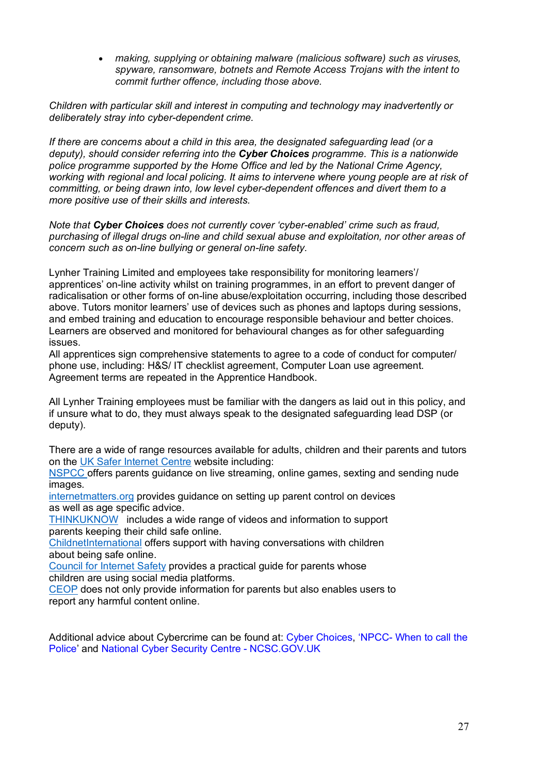• *making, supplying or obtaining malware (malicious software) such as viruses, spyware, ransomware, botnets and Remote Access Trojans with the intent to commit further offence, including those above.* 

*Children with particular skill and interest in computing and technology may inadvertently or deliberately stray into cyber-dependent crime.* 

*If there are concerns about a child in this area, the designated safeguarding lead (or a deputy), should consider referring into the Cyber Choices programme. This is a nationwide police programme supported by the Home Office and led by the National Crime Agency, working with regional and local policing. It aims to intervene where young people are at risk of committing, or being drawn into, low level cyber-dependent offences and divert them to a more positive use of their skills and interests.* 

*Note that Cyber Choices does not currently cover 'cyber-enabled' crime such as fraud, purchasing of illegal drugs on-line and child sexual abuse and exploitation, nor other areas of concern such as on-line bullying or general on-line safety.* 

Lynher Training Limited and employees take responsibility for monitoring learners'/ apprentices' on-line activity whilst on training programmes, in an effort to prevent danger of radicalisation or other forms of on-line abuse/exploitation occurring, including those described above. Tutors monitor learners' use of devices such as phones and laptops during sessions, and embed training and education to encourage responsible behaviour and better choices. Learners are observed and monitored for behavioural changes as for other safeguarding issues.

All apprentices sign comprehensive statements to agree to a code of conduct for computer/ phone use, including: H&S/ IT checklist agreement, Computer Loan use agreement. Agreement terms are repeated in the Apprentice Handbook.

All Lynher Training employees must be familiar with the dangers as laid out in this policy, and if unsure what to do, they must always speak to the designated safeguarding lead DSP (or deputy).

There are a wide of range resources available for adults, children and their parents and tutors on the UK Safer Internet Centre website including:

NSPCC offers parents guidance on live streaming, online games, sexting and sending nude images.

internetmatters.org provides guidance on setting up parent control on devices as well as age specific advice.

THINKUKNOW includes a wide range of videos and information to support parents keeping their child safe online.

ChildnetInternational offers support with having conversations with children about being safe online.

Council for Internet Safety provides a practical guide for parents whose children are using social media platforms.

CEOP does not only provide information for parents but also enables users to report any harmful content online.

Additional advice about Cybercrime can be found at: Cyber Choices, 'NPCC- When to call the Police' and National Cyber Security Centre - NCSC.GOV.UK